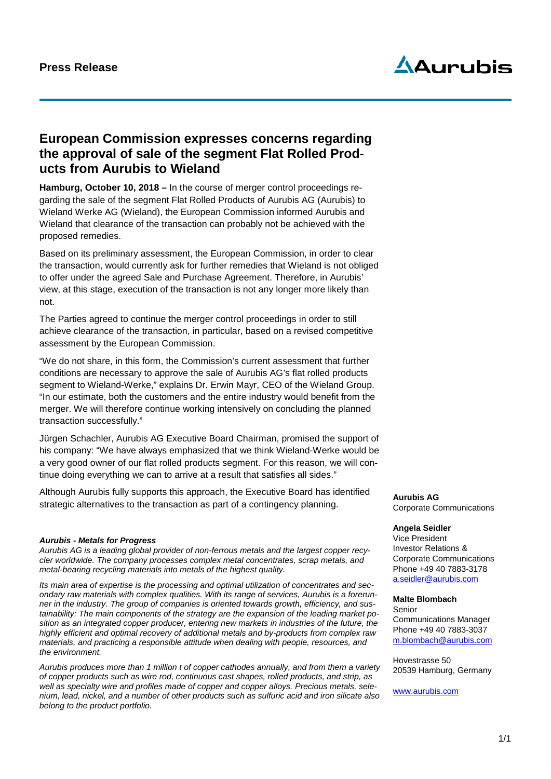## **Aurubis**

## **European Commission expresses concerns regarding the approval of sale of the segment Flat Rolled Products from Aurubis to Wieland**

**Hamburg, October 10, 2018 –** In the course of merger control proceedings regarding the sale of the segment Flat Rolled Products of Aurubis AG (Aurubis) to Wieland Werke AG (Wieland), the European Commission informed Aurubis and Wieland that clearance of the transaction can probably not be achieved with the proposed remedies.

Based on its preliminary assessment, the European Commission, in order to clear the transaction, would currently ask for further remedies that Wieland is not obliged to offer under the agreed Sale and Purchase Agreement. Therefore, in Aurubis' view, at this stage, execution of the transaction is not any longer more likely than not.

The Parties agreed to continue the merger control proceedings in order to still achieve clearance of the transaction, in particular, based on a revised competitive assessment by the European Commission.

"We do not share, in this form, the Commission's current assessment that further conditions are necessary to approve the sale of Aurubis AG's flat rolled products segment to Wieland-Werke," explains Dr. Erwin Mayr, CEO of the Wieland Group. "In our estimate, both the customers and the entire industry would benefit from the merger. We will therefore continue working intensively on concluding the planned transaction successfully."

Jürgen Schachler, Aurubis AG Executive Board Chairman, promised the support of his company: "We have always emphasized that we think Wieland-Werke would be a very good owner of our flat rolled products segment. For this reason, we will continue doing everything we can to arrive at a result that satisfies all sides."

Although Aurubis fully supports this approach, the Executive Board has identified strategic alternatives to the transaction as part of a contingency planning.

## *Aurubis - Metals for Progress*

*Aurubis AG is a leading global provider of non-ferrous metals and the largest copper recycler worldwide. The company processes complex metal concentrates, scrap metals, and metal-bearing recycling materials into metals of the highest quality.* 

*Its main area of expertise is the processing and optimal utilization of concentrates and secondary raw materials with complex qualities. With its range of services, Aurubis is a forerunner in the industry. The group of companies is oriented towards growth, efficiency, and sustainability: The main components of the strategy are the expansion of the leading market position as an integrated copper producer, entering new markets in industries of the future, the highly efficient and optimal recovery of additional metals and by-products from complex raw materials, and practicing a responsible attitude when dealing with people, resources, and the environment.*

*Aurubis produces more than 1 million t of copper cathodes annually, and from them a variety of copper products such as wire rod, continuous cast shapes, rolled products, and strip, as well as specialty wire and profiles made of copper and copper alloys. Precious metals, selenium, lead, nickel, and a number of other products such as sulfuric acid and iron silicate also belong to the product portfolio.*

**Aurubis AG** Corporate Communications

## **Angela Seidler**

Vice President Investor Relations & Corporate Communications Phone +49 40 7883-3178 a.seidler@aurubis.com

**Malte Blombach** Senior Communications Manager Phone +49 40 7883-3037 [m.blombach@aurubis.com](mailto:m.blombach@aurubis.com)

Hovestrasse 50 20539 Hamburg, Germany

[www.aurubis.com](http://www.aurubis.com/)